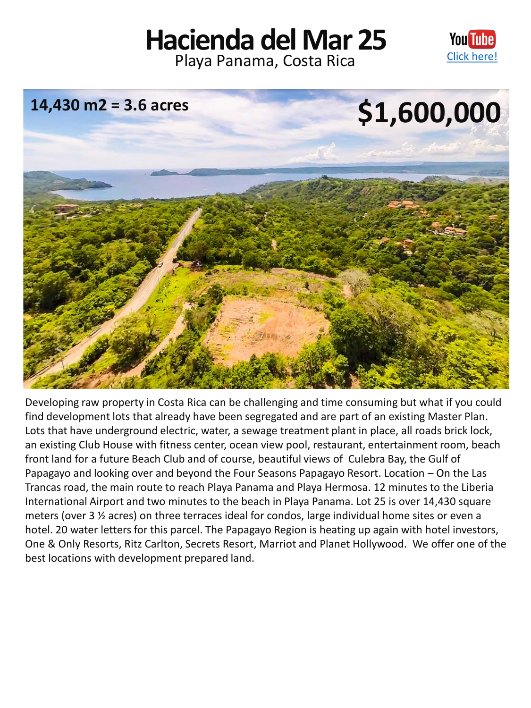## **Hacienda del Mar 25** Playa Panama, Costa Rica [Click here!](https://youtu.be/iGGCcsSeEqQ)





Developing raw property in Costa Rica can be challenging and time consuming but what if you could find development lots that already have been segregated and are part of an existing Master Plan. Lots that have underground electric, water, a sewage treatment plant in place, all roads brick lock, an existing Club House with fitness center, ocean view pool, restaurant, entertainment room, beach front land for a future Beach Club and of course, beautiful views of Culebra Bay, the Gulf of Papagayo and looking over and beyond the Four Seasons Papagayo Resort. Location – On the Las Trancas road, the main route to reach Playa Panama and Playa Hermosa. 12 minutes to the Liberia International Airport and two minutes to the beach in Playa Panama. Lot 25 is over 14,430 square meters (over 3 ½ acres) on three terraces ideal for condos, large individual home sites or even a hotel. 20 water letters for this parcel. The Papagayo Region is heating up again with hotel investors, One & Only Resorts, Ritz Carlton, Secrets Resort, Marriot and Planet Hollywood. We offer one of the best locations with development prepared land.